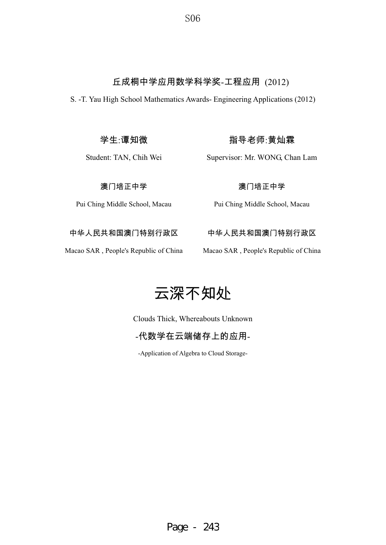# 丘成桐中学应用数学科学奖-工程应用 (2012)

S. -T. Yau High School Mathematics Awards- Engineering Applications (2012)

学生:谭知微

Student: TAN, Chih Wei

指导老师:黄灿霖

Supervisor: Mr. WONG, Chan Lam

澳门培正中学

Pui Ching Middle School, Macau

澳门培正中学

Pui Ching Middle School, Macau

中华人民共和国澳门特别行政区

Macao SAR , People's Republic of China

中华人民共和国澳门特别行政区

Macao SAR , People's Republic of China

# 云深不知处

Clouds Thick, Whereabouts Unknown

-代数学在云端储存上的应用-

-Application of Algebra to Cloud Storage-

Page - 243

S<sub>06</sub>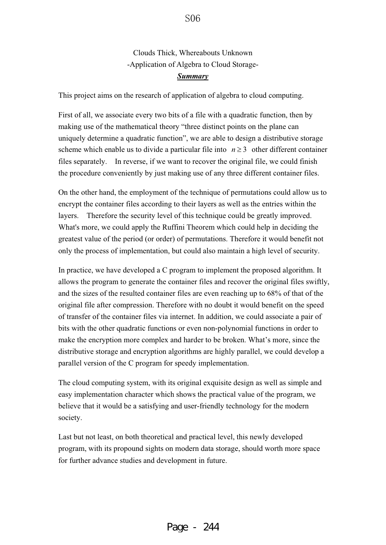Clouds Thick, Whereabouts Unknown -Application of Algebra to Cloud Storage-*Summary*

This project aims on the research of application of algebra to cloud computing.

First of all, we associate every two bits of a file with a quadratic function, then by making use of the mathematical theory "three distinct points on the plane can uniquely determine a quadratic function", we are able to design a distributive storage scheme which enable us to divide a particular file into  $n \geq 3$  other different container files separately. In reverse, if we want to recover the original file, we could finish the procedure conveniently by just making use of any three different container files.

On the other hand, the employment of the technique of permutations could allow us to encrypt the container files according to their layers as well as the entries within the layers. Therefore the security level of this technique could be greatly improved. What's more, we could apply the Ruffini Theorem which could help in deciding the greatest value of the period (or order) of permutations. Therefore it would benefit not only the process of implementation, but could also maintain a high level of security.

In practice, we have developed a C program to implement the proposed algorithm. It allows the program to generate the container files and recover the original files swiftly, and the sizes of the resulted container files are even reaching up to 68% of that of the original file after compression. Therefore with no doubt it would benefit on the speed of transfer of the container files via internet. In addition, we could associate a pair of bits with the other quadratic functions or even non-polynomial functions in order to make the encryption more complex and harder to be broken. What's more, since the distributive storage and encryption algorithms are highly parallel, we could develop a parallel version of the C program for speedy implementation.

The cloud computing system, with its original exquisite design as well as simple and easy implementation character which shows the practical value of the program, we believe that it would be a satisfying and user-friendly technology for the modern society.

Last but not least, on both theoretical and practical level, this newly developed program, with its propound sights on modern data storage, should worth more space for further advance studies and development in future.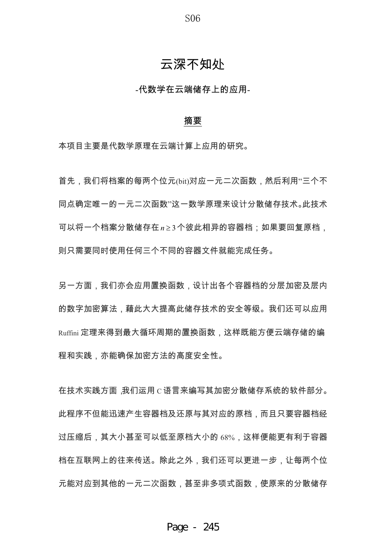S<sub>06</sub>

# 云深不知处

-代数学在云端储存上的应用-

#### 摘要

本项目主要是代数学原理在云端计算上应用的研究。

首先,我们将档案的每两个位元(bit)对应一元二次函数,然后利用"三个不 同点确定唯一的一元二次函数"这一数学原理来设计分散储存技术。此技术 可以将一个档案分散储存在n≥3个彼此相异的容器档;如果要回复原档, 则只需要同时使用任何三个不同的容器文件就能完成任务。

另一方面,我们亦会应用置换函数,设计出各个容器档的分层加密及层内 的数字加密算法.藉此大大提高此储存技术的安全等级。我们还可以应用 Ruffini 定理来得到最大循环周期的置换函数,这样既能方便云端存储的编 程和实践,亦能确保加密方法的高度安全性。

在技术实践方面,我们运用 C 语言来编写其加密分散储存系统的软件部分。 此程序不但能迅速产生容器档及还原与其对应的原档,而且只要容器档经 过压缩后,其大小甚至可以低至原档大小的 68%,这样便能更有利于容器 档在互联网上的往来传送。除此之外,我们还可以更进一步,让每两个位 元能对应到其他的一元二次函数,甚至非多项式函数,使原来的分散储存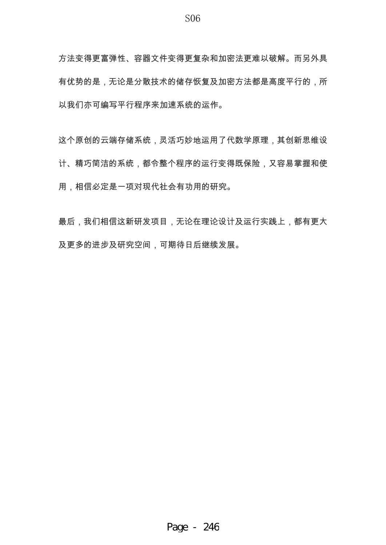方法变得更富弹性、容器文件变得更复杂和加密法更难以破解。而另外具 有优势的是,无论是分散技术的储存恢复及加密方法都是高度平行的,所 以我们亦可编写平行程序来加速系统的运作。

这个原创的云端存储系统,灵活巧妙地运用了代数学原理,其创新思维设 计、精巧简洁的系统,都令整个程序的运行变得既保险,又容易掌握和使 用,相信必定是一项对现代社会有功用的研究。

最后,我们相信这新研发项目,无论在理论设计及运行实践上,都有更大 及更多的进步及研究空间,可期待日后继续发展。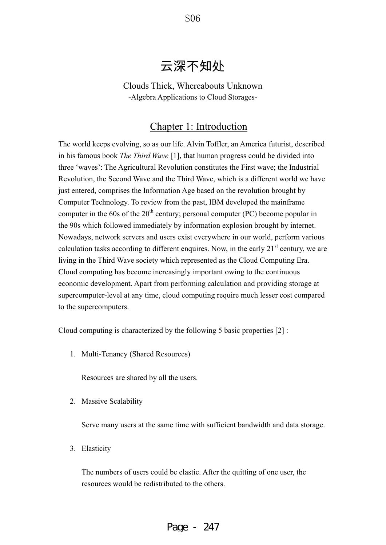S<sub>06</sub>

# 云深不知处

Clouds Thick, Whereabouts Unknown -Algebra Applications to Cloud Storages-

# Chapter 1: Introduction

The world keeps evolving, so as our life. Alvin Toffler, an America futurist, described in his famous book *The Third Wave* [1], that human progress could be divided into three 'waves': The Agricultural Revolution constitutes the First wave; the Industrial Revolution, the Second Wave and the Third Wave, which is a different world we have just entered, comprises the Information Age based on the revolution brought by Computer Technology. To review from the past, IBM developed the mainframe computer in the 60s of the  $20<sup>th</sup>$  century; personal computer (PC) become popular in the 90s which followed immediately by information explosion brought by internet. Nowadays, network servers and users exist everywhere in our world, perform various calculation tasks according to different enquires. Now, in the early  $21<sup>st</sup>$  century, we are living in the Third Wave society which represented as the Cloud Computing Era. Cloud computing has become increasingly important owing to the continuous economic development. Apart from performing calculation and providing storage at supercomputer-level at any time, cloud computing require much lesser cost compared to the supercomputers.

Cloud computing is characterized by the following 5 basic properties [2] :

1. Multi-Tenancy (Shared Resources)

Resources are shared by all the users.

2. Massive Scalability

Serve many users at the same time with sufficient bandwidth and data storage.

3. Elasticity

The numbers of users could be elastic. After the quitting of one user, the resources would be redistributed to the others.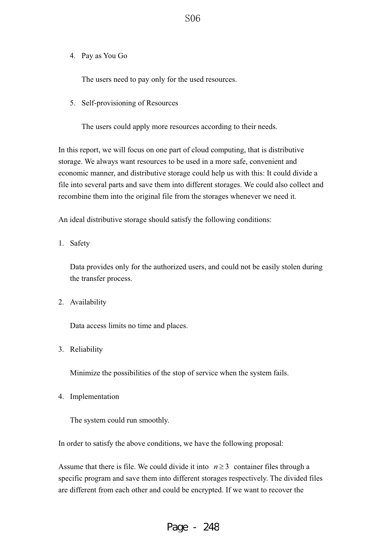4. Pay as You Go

The users need to pay only for the used resources.

5. Self-provisioning of Resources

The users could apply more resources according to their needs.

In this report, we will focus on one part of cloud computing, that is distributive storage. We always want resources to be used in a more safe, convenient and economic manner, and distributive storage could help us with this: It could divide a file into several parts and save them into different storages. We could also collect and recombine them into the original file from the storages whenever we need it.

An ideal distributive storage should satisfy the following conditions:

1. Safety

Data provides only for the authorized users, and could not be easily stolen during the transfer process.

2. Availability

Data access limits no time and places.

3. Reliability

Minimize the possibilities of the stop of service when the system fails.

4. Implementation

The system could run smoothly.

In order to satisfy the above conditions, we have the following proposal:

Assume that there is file. We could divide it into  $n \geq 3$  container files through a specific program and save them into different storages respectively. The divided files are different from each other and could be encrypted. If we want to recover the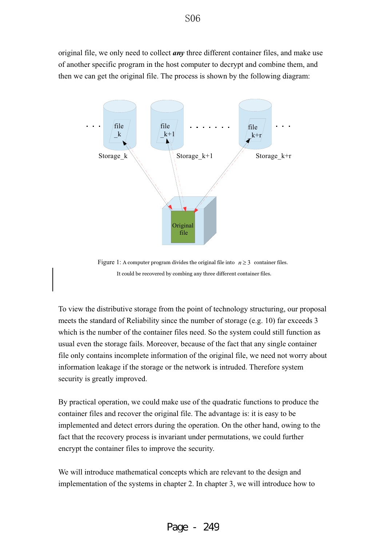original file, we only need to collect *any* three different container files, and make use of another specific program in the host computer to decrypt and combine them, and then we can get the original file. The process is shown by the following diagram:



Figure 1: A computer program divides the original file into  $n \geq 3$  container files. It could be recovered by combing any three different container files.

To view the distributive storage from the point of technology structuring, our proposal meets the standard of Reliability since the number of storage (e.g. 10) far exceeds 3 which is the number of the container files need. So the system could still function as usual even the storage fails. Moreover, because of the fact that any single container file only contains incomplete information of the original file, we need not worry about information leakage if the storage or the network is intruded. Therefore system security is greatly improved.

By practical operation, we could make use of the quadratic functions to produce the container files and recover the original file. The advantage is: it is easy to be implemented and detect errors during the operation. On the other hand, owing to the fact that the recovery process is invariant under permutations, we could further encrypt the container files to improve the security.

We will introduce mathematical concepts which are relevant to the design and implementation of the systems in chapter 2. In chapter 3, we will introduce how to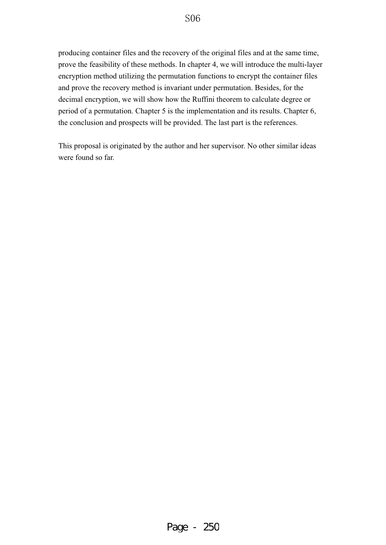## S<sub>06</sub>

producing container files and the recovery of the original files and at the same time, prove the feasibility of these methods. In chapter 4, we will introduce the multi-layer encryption method utilizing the permutation functions to encrypt the container files and prove the recovery method is invariant under permutation. Besides, for the decimal encryption, we will show how the Ruffini theorem to calculate degree or period of a permutation. Chapter 5 is the implementation and its results. Chapter 6, the conclusion and prospects will be provided. The last part is the references.

This proposal is originated by the author and her supervisor. No other similar ideas were found so far.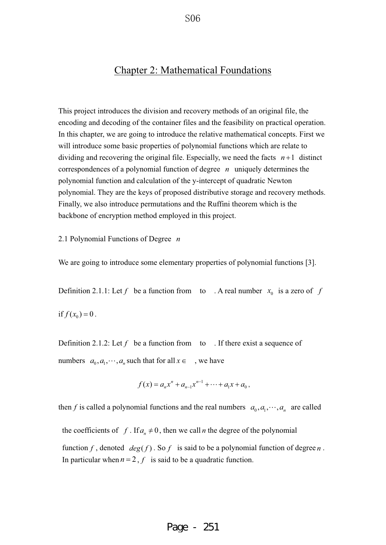## Chapter 2: Mathematical Foundations

This project introduces the division and recovery methods of an original file, the encoding and decoding of the container files and the feasibility on practical operation. In this chapter, we are going to introduce the relative mathematical concepts. First we will introduce some basic properties of polynomial functions which are relate to dividing and recovering the original file. Especially, we need the facts  $n+1$  distinct correspondences of a polynomial function of degree *n* uniquely determines the polynomial function and calculation of the y-intercept of quadratic Newton polynomial. They are the keys of proposed distributive storage and recovery methods. Finally, we also introduce permutations and the Ruffini theorem which is the backbone of encryption method employed in this project.

2.1 Polynomial Functions of Degree *n*

We are going to introduce some elementary properties of polynomial functions [3].

Definition 2.1.1: Let  $f$  be a function from to . A real number  $x_0$  is a zero of  $f$ if  $f(x_0) = 0$ .

Definition 2.1.2: Let  $f$  be a function from to . If there exist a sequence of numbers  $a_0, a_1, \dots, a_n$  such that for all  $x \in \dots$ , we have

$$
f(x) = a_n x^n + a_{n-1} x^{n-1} + \dots + a_1 x + a_0,
$$

then *f* is called a polynomial functions and the real numbers  $a_0, a_1, \dots, a_n$  are called

the coefficients of *f*. If  $a_n \neq 0$ , then we call *n* the degree of the polynomial

function f, denoted  $deg(f)$ . So f is said to be a polynomial function of degree n. In particular when  $n = 2$ ,  $f$  is said to be a quadratic function.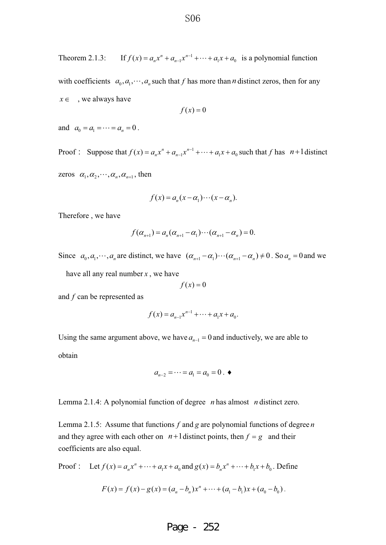Theorem 2.1.3: If  $f(x) = a_n x^n + a_{n-1} x^{n-1} + \cdots + a_1 x + a_0$  is a polynomial function with coefficients  $a_0$ ,  $a_1$ ,  $\cdots$ ,  $a_n$  such that *f* has more than *n* distinct zeros, then for any  $x \in \alpha$ , we always have

$$
f(x) = 0
$$

and  $a_0 = a_1 = \cdots = a_n = 0$ .

Proof: Suppose that  $f(x) = a_n x^n + a_{n-1} x^{n-1} + \cdots + a_1 x + a_0$  such that *f* has  $n+1$  distinct zeros  $\alpha_1, \alpha_2, \cdots, \alpha_n, \alpha_{n+1}$ , then

$$
f(x) = a_n(x - \alpha_1) \cdots (x - \alpha_n).
$$

Therefore , we have

$$
f(\alpha_{n+1}) = a_n(\alpha_{n+1} - \alpha_1) \cdots (\alpha_{n+1} - \alpha_n) = 0.
$$

Since  $a_0, a_1, \dots, a_n$  are distinct, we have  $(\alpha_{n+1} - \alpha_1) \cdots (\alpha_{n+1} - \alpha_n) \neq 0$ . So  $a_n = 0$  and we

have all any real number *x* , we have

$$
f(x) = 0
$$

and *f* can be represented as

$$
f(x) = a_{n-1}x^{n-1} + \cdots + a_1x + a_0.
$$

Using the same argument above, we have  $a_{n-1} = 0$  and inductively, we are able to

obtain

$$
a_{n-2} = \cdots = a_1 = a_0 = 0. \blacktriangleleft
$$

Lemma 2.1.4: A polynomial function of degree *n* has almost *n* distinct zero.

Lemma 2.1.5: Assume that functions *f* and *g* are polynomial functions of degree *n* and they agree with each other on  $n+1$  distinct points, then  $f = g$  and their coefficients are also equal.

Proof: Let 
$$
f(x) = a_n x^n + \dots + a_1 x + a_0
$$
 and  $g(x) = b_n x^n + \dots + b_1 x + b_0$ . Define

$$
F(x) = f(x) - g(x) = (a_n - b_n)x^n + \dots + (a_1 - b_1)x + (a_0 - b_0).
$$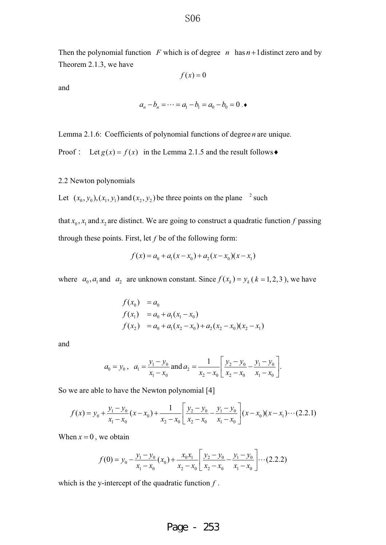Then the polynomial function  $F$  which is of degree  $n$  has  $n+1$  distinct zero and by Theorem 2.1.3, we have

$$
f(x) = 0
$$

and

$$
a_n - b_n = \cdots = a_1 - b_1 = a_0 - b_0 = 0
$$
.

Lemma 2.1.6: Coefficients of polynomial functions of degree *n* are unique.

Proof : Let  $g(x) = f(x)$  in the Lemma 2.1.5 and the result follows  $\bullet$ 

2.2 Newton polynomials

Let  $(x_0, y_0), (x_1, y_1)$  and  $(x_2, y_2)$  be three points on the plane <sup>2</sup> such

that  $x_0$ ,  $x_1$  and  $x_2$  are distinct. We are going to construct a quadratic function *f* passing through these points. First, let *f* be of the following form:

$$
f(x) = a_0 + a_1(x - x_0) + a_2(x - x_0)(x - x_1)
$$

where  $a_0$ ,  $a_1$  and  $a_2$  are unknown constant. Since  $f(x_k) = y_k$  ( $k = 1, 2, 3$ ), we have

$$
f(x_0) = a_0
$$
  
\n
$$
f(x_1) = a_0 + a_1(x_1 - x_0)
$$
  
\n
$$
f(x_2) = a_0 + a_1(x_2 - x_0) + a_2(x_2 - x_0)(x_2 - x_1)
$$

and

$$
a_0 = y_0
$$
,  $a_1 = \frac{y_1 - y_0}{x_1 - x_0}$  and  $a_2 = \frac{1}{x_2 - x_0} \left[ \frac{y_2 - y_0}{x_2 - x_0} - \frac{y_1 - y_0}{x_1 - x_0} \right]$ .

So we are able to have the Newton polynomial [4]

$$
f(x) = y_0 + \frac{y_1 - y_0}{x_1 - x_0}(x - x_0) + \frac{1}{x_2 - x_0} \left[ \frac{y_2 - y_0}{x_2 - x_0} - \frac{y_1 - y_0}{x_1 - x_0} \right] (x - x_0)(x - x_1) \cdots (2.2.1)
$$

When  $x = 0$ , we obtain

$$
f(0) = y_0 - \frac{y_1 - y_0}{x_1 - x_0}(x_0) + \frac{x_0 x_1}{x_2 - x_0} \left[ \frac{y_2 - y_0}{x_2 - x_0} - \frac{y_1 - y_0}{x_1 - x_0} \right] \cdots (2.2.2)
$$

which is the y-intercept of the quadratic function *f* .

#### S<sub>06</sub>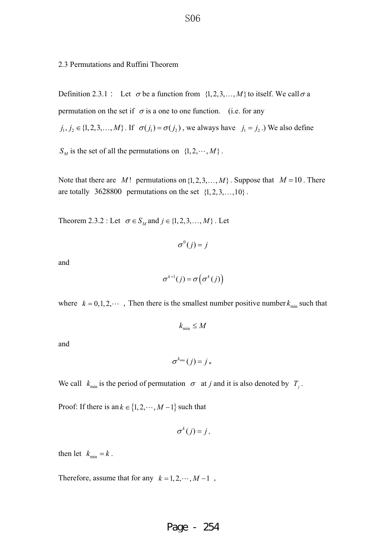2.3 Permutations and Ruffini Theorem

Definition 2.3.1 : Let  $\sigma$  be a function from  $\{1, 2, 3, ..., M\}$  to itself. We call  $\sigma$  a permutation on the set if  $\sigma$  is a one to one function. (i.e. for any  $j_1, j_2 \in \{1, 2, 3, ..., M\}$ . If  $\sigma(j_1) = \sigma(j_2)$ , we always have  $j_1 = j_2$ .) We also define  $S_M$  is the set of all the permutations on  $\{1, 2, \dots, M\}$ .

Note that there are *M*! permutations on  $\{1, 2, 3, ..., M\}$ . Suppose that  $M = 10$ . There are totally 3628800 permutations on the set  $\{1, 2, 3, \ldots, 10\}$ .

Theorem 2.3.2 : Let  $\sigma \in S_M$  and  $j \in \{1, 2, 3, ..., M\}$ . Let

$$
\sigma^0(j) = j
$$

and

$$
\sigma^{k+1}(j) = \sigma\big(\sigma^k(j)\big)
$$

where  $k = 0, 1, 2, \cdots$ , Then there is the smallest number positive number  $k_{\text{min}}$  such that

$$
k_{\min} \leq M
$$

and

$$
\sigma^{k_{\min}}(j) = j \; \text{\textcolor{red}{\bullet}}
$$

We call  $k_{\min}$  is the period of permutation  $\sigma$  at *j* and it is also denoted by  $T_j$ .

Proof: If there is an  $k \in \{1, 2, \dots, M-1\}$  such that

$$
\sigma^k(j)=j\,,
$$

then let  $k_{\min} = k$ .

Therefore, assume that for any  $k = 1, 2, \dots, M - 1$ ,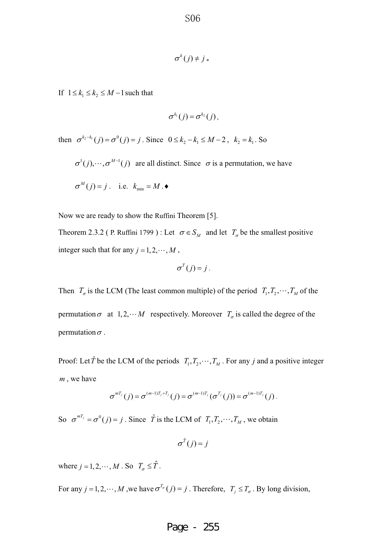$$
\sigma^k(j) \neq j \, \text{\textcolor{red}{\bullet}}
$$

If  $1 \leq k_1 \leq k_2 \leq M-1$  such that

$$
\sigma^{k_1}(j) = \sigma^{k_2}(j),
$$

then  $\sigma^{k_2-k_1}(j) = \sigma^0(j) = j$ . Since  $0 \le k_2 - k_1 \le M - 2$ ,  $k_2 = k_1$ . So

 $\sigma^1(j), \dots, \sigma^{M-1}(j)$  are all distinct. Since  $\sigma$  is a permutation, we have  $\sigma^M(j) = j$ . i.e.  $k_{\min} = M$ .

Now we are ready to show the Ruffini Theorem [5].

Theorem 2.3.2 ( P. Ruffini 1799 ) : Let  $\sigma \in S_M$  and let  $T_{\sigma}$  be the smallest positive integer such that for any  $j = 1, 2, \dots, M$ ,

$$
\sigma^T(j)=j.
$$

Then  $T_{\sigma}$  is the LCM (The least common multiple) of the period  $T_1, T_2, \dots, T_M$  of the permutation  $\sigma$  at 1,2, $\cdots$  *M* respectively. Moreover  $T_{\sigma}$  is called the degree of the permutation  $\sigma$ .

Proof: Let  $\hat{T}$  be the LCM of the periods  $T_1, T_2, \dots, T_M$ . For any *j* and a positive integer *m* , we have

$$
\sigma^{mT_j}(j) = \sigma^{(m-1)T_j+T_j}(j) = \sigma^{(m-1)T_j}(\sigma^{T_j}(j)) = \sigma^{(m-1)T_j}(j).
$$

So  $\sigma^{mT_j} = \sigma^0(j) = j$ . Since  $\hat{T}$  is the LCM of  $T_1, T_2, \dots, T_M$ , we obtain

 $\sigma^{\hat{T}}(j) = j$ 

where  $j = 1, 2, \dots, M$ . So  $T_{\sigma} \leq \hat{T}$ .

For any  $j = 1, 2, \dots, M$ , we have  $\sigma^{T_{\sigma}}(j) = j$ . Therefore,  $T_j \le T_{\sigma}$ . By long division,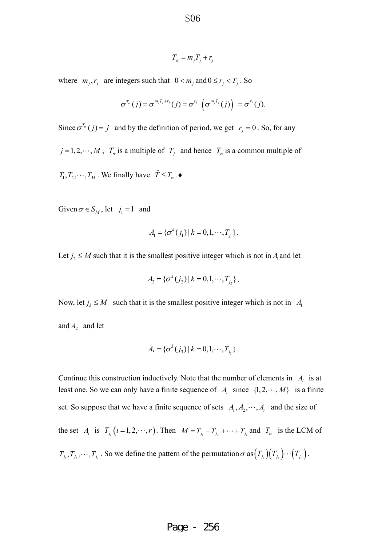$$
T_{\sigma} = m_j T_j + r_j
$$

where  $m_i, r_i$  are integers such that  $0 < m_i$  and  $0 \le r_i < T_i$ . So

$$
\sigma^{T_{\sigma}}(j) = \sigma^{m_j T_j + r_j}(j) = \sigma^{r_j} \left( \sigma^{m_j T_j}(j) \right) = \sigma^{r_j}(j).
$$

Since  $\sigma^{T_{\sigma}}(j) = j$  and by the definition of period, we get  $r_j = 0$ . So, for any

 $j = 1, 2, \dots, M$ ,  $T_{\sigma}$  is a multiple of  $T_j$  and hence  $T_{\sigma}$  is a common multiple of

 $T_1, T_2, \dots, T_M$ . We finally have  $\hat{T} \leq T_{\sigma}$ .

Given  $\sigma \in S_M$ , let  $j_1 = 1$  and

$$
A_{\rm l} = \{ \sigma^k(j_1) \, | \, k = 0, 1, \cdots, T_{j_1} \} \, .
$$

Let  $j_2 \leq M$  such that it is the smallest positive integer which is not in  $A_1$  and let

$$
A_2 = \{ \sigma^k(j_2) \, | \, k = 0, 1, \cdots, T_{j_2} \} \, .
$$

Now, let  $j_3 \leq M$  such that it is the smallest positive integer which is not in *A*<sub>1</sub> and  $A_2$  and let

$$
A_3 = \{ \sigma^k(j_3) | k = 0, 1, \cdots, T_{j_3} \}.
$$

Continue this construction inductively. Note that the number of elements in  $A_i$  is at least one. So we can only have a finite sequence of  $A_i$  since  $\{1, 2, \dots, M\}$  is a finite set. So suppose that we have a finite sequence of sets  $A_1, A_2, \dots, A_r$  and the size of the set *A<sub>i</sub>* is  $T_{j_i}$   $(i = 1, 2, \dots, r)$ . Then  $M = T_{j_1} + T_{j_2} + \dots + T_{j_r}$  and  $T_{\sigma}$  is the LCM of  $T_{j_1}, T_{j_2}, \dots, T_{j_r}$ . So we define the pattern of the permutation  $\sigma$  as  $(T_{j_1})(T_{j_2})\cdots(T_{j_r})$ .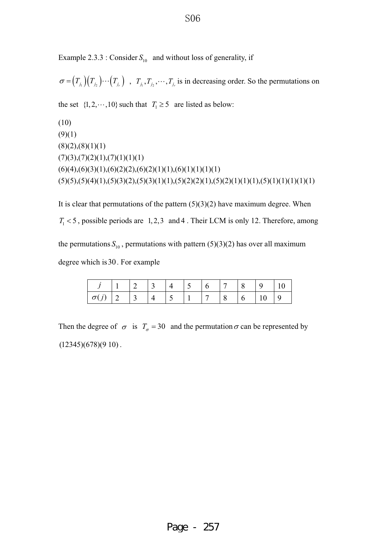Example 2.3.3 : Consider  $S_{10}$  and without loss of generality, if

 $\sigma = (T_{j_1})(T_{j_2})\cdots(T_{j_r})$ ,  $T_{j_1}, T_{j_2}, \cdots, T_{j_r}$  is in decreasing order. So the permutations on

the set  $\{1, 2, \dots, 10\}$  such that  $T_1 \ge 5$  are listed as below:

```
(10) 
(9)(1)(8)(2),(8)(1)(1)(7)(3),(7)(2)(1),(7)(1)(1)(1)(6)(4),(6)(3)(1),(6)(2)(2),(6)(2)(1)(1),(6)(1)(1)(1)(1)(5)(5)(5)(4)(1)(5)(3)(2)(5)(3)(1)(1)(5)(2)(2)(1)(5)(2)(1)(1)(1)(5)(1)(1)(1)(1)(1)
```
It is clear that permutations of the pattern  $(5)(3)(2)$  have maximum degree. When  $T_1 < 5$ , possible periods are 1, 2, 3 and 4. Their LCM is only 12. Therefore, among the permutations  $S_{10}$ , permutations with pattern (5)(3)(2) has over all maximum degree which is30. For example

|                 |                                                                 | $\begin{array}{ c c c c c c } \hline 3 & 4 & 5 & 6 \\ \hline \end{array}$ |            |  | $\begin{array}{ c c c c c } \hline 7 & 8 \\ \hline \end{array}$ | $\begin{array}{ c c c c c } \hline 9 & 10 \\ \hline \end{array}$ |  |
|-----------------|-----------------------------------------------------------------|---------------------------------------------------------------------------|------------|--|-----------------------------------------------------------------|------------------------------------------------------------------|--|
| $\sigma(j)$   2 | $\begin{array}{ c c c c c } \hline 3 & 4 \\ \hline \end{array}$ |                                                                           | $\sqrt{5}$ |  |                                                                 | $\vert 10 \vert 9$                                               |  |

Then the degree of  $\sigma$  is  $T_{\sigma} = 30$  and the permutation  $\sigma$  can be represented by  $(12345)(678)(910)$ .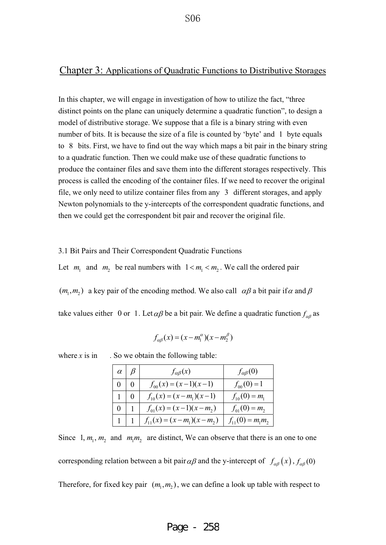#### Chapter 3: Applications of Quadratic Functions to Distributive Storages

In this chapter, we will engage in investigation of how to utilize the fact, "three distinct points on the plane can uniquely determine a quadratic function", to design a model of distributive storage. We suppose that a file is a binary string with even number of bits. It is because the size of a file is counted by 'byte' and 1 byte equals to 8 bits. First, we have to find out the way which maps a bit pair in the binary string to a quadratic function. Then we could make use of these quadratic functions to produce the container files and save them into the different storages respectively. This process is called the encoding of the container files. If we need to recover the original file, we only need to utilize container files from any 3 different storages, and apply Newton polynomials to the y-intercepts of the correspondent quadratic functions, and then we could get the correspondent bit pair and recover the original file.

#### 3.1 Bit Pairs and Their Correspondent Quadratic Functions

Let  $m_1$  and  $m_2$  be real numbers with  $1 \lt m_1 \lt m_2$ . We call the ordered pair

 $(m_1, m_2)$  a key pair of the encoding method. We also call  $\alpha\beta$  a bit pair if  $\alpha$  and  $\beta$ 

take values either 0 or 1. Let  $\alpha\beta$  be a bit pair. We define a quadratic function  $f_{\alpha\beta}$  as

$$
f_{\alpha\beta}(x) = (x - m_1^{\alpha})(x - m_2^{\beta})
$$

where  $x$  is in . So we obtain the following table:

| $\alpha$ $\beta$ | $f_{\alpha\beta}(x)$             | $f_{\alpha\beta}(0)$  |
|------------------|----------------------------------|-----------------------|
|                  | $f_{00}(x) = (x-1)(x-1)$         | $f_{00}(0)=1$         |
|                  | $f_{10}(x) = (x - m_1)(x - 1)$   | $f_{10}(0) = m_1$     |
|                  | $f_{01}(x) = (x-1)(x-m_2)$       | $f_{01}(0) = m_2$     |
|                  | $f_{11}(x) = (x - m_1)(x - m_2)$ | $f_{11}(0) = m_1 m_2$ |

Since 1,  $m_1$ ,  $m_2$  and  $m_1 m_2$  are distinct, We can observe that there is an one to one corresponding relation between a bit pair  $\alpha\beta$  and the y-intercept of  $f_{\alpha\beta}(x)$ ,  $f_{\alpha\beta}(0)$ Therefore, for fixed key pair  $(m_1, m_2)$ , we can define a look up table with respect to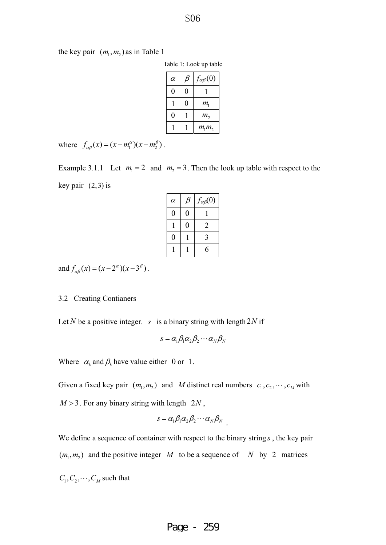the key pair  $(m_1, m_2)$  as in Table 1

| Table 1: Look up table |  |  |  |  |
|------------------------|--|--|--|--|
|------------------------|--|--|--|--|

| $\alpha$ | B | $f_{\alpha\beta}(0)$ |
|----------|---|----------------------|
| 0        | 0 |                      |
|          | 0 | $m_{\rm i}$          |
| 0        |   | m <sub>2</sub>       |
|          |   | $m_1 m_2$            |

where  $f_{\alpha\beta}(x) = (x - m_1^{\alpha})(x - m_2^{\beta})$ .

Example 3.1.1 Let  $m_1 = 2$  and  $m_2 = 3$ . Then the look up table with respect to the key pair  $(2,3)$  is

| $\alpha$ | β | $f_{\alpha\beta}(0)$ |
|----------|---|----------------------|
| ()       | 0 |                      |
|          | 0 | 2                    |
| 0        |   | 3                    |
|          |   | 6                    |

and  $f_{\alpha\beta}(x) = (x - 2^{\alpha})(x - 3^{\beta})$ .

#### 3.2 Creating Contianers

Let *N* be a positive integer. *s* is a binary string with length 2*N* if

$$
s = \alpha_1 \beta_1 \alpha_2 \beta_2 \cdots \alpha_N \beta_N
$$

Where  $\alpha_k$  and  $\beta_k$  have value either 0 or 1.

Given a fixed key pair  $(m_1, m_2)$  and *M* distinct real numbers  $c_1, c_2, \cdots, c_M$  with  $M > 3$ . For any binary string with length  $2N$ ,

$$
s = \alpha_1 \beta_1 \alpha_2 \beta_2 \cdots \alpha_N \beta_N
$$

We define a sequence of container with respect to the binary string *s* , the key pair  $(m_1, m_2)$  and the positive integer *M* to be a sequence of *N* by 2 matrices  $C_1, C_2, \cdots, C_M$  such that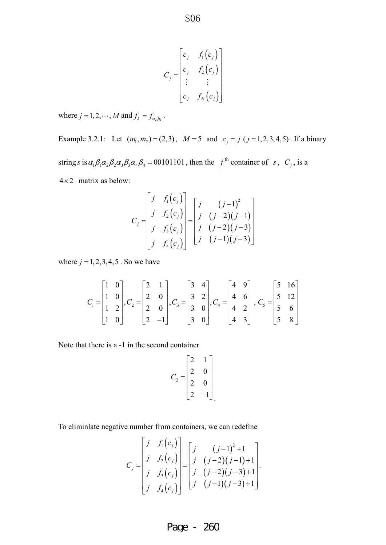$$
C_j = \begin{bmatrix} c_j & f_1(c_j) \\ c_j & f_2(c_j) \\ \vdots & \vdots \\ c_j & f_N(c_j) \end{bmatrix}
$$

where  $j = 1, 2, \cdots, M$  and  $f_k = f_{\alpha_k \beta_k}$ .

Example 3.2.1: Let  $(m_1, m_2) = (2,3)$ ,  $M = 5$  and  $c_j = j$   $(j = 1, 2, 3, 4, 5)$ . If a binary string *s* is  $\alpha_1 \beta_1 \alpha_2 \beta_2 \alpha_3 \beta_3 \alpha_4 \beta_4 = 00101101$ , then the *j*<sup>th</sup> container of *s*, *C<sub>j</sub>*, is a  $4 \times 2$  matrix as below:

$$
C_j = \begin{bmatrix} j & f_1(c_j) \\ j & f_2(c_j) \\ j & f_3(c_j) \\ j & f_4(c_j) \end{bmatrix} = \begin{bmatrix} j & (j-1)^2 \\ j & (j-2)(j-1) \\ j & (j-2)(j-3) \\ j & (j-1)(j-3) \end{bmatrix}
$$

where  $j = 1, 2, 3, 4, 5$ . So we have

$$
C_1 = \begin{bmatrix} 1 & 0 \\ 1 & 0 \\ 1 & 2 \\ 1 & 0 \end{bmatrix}, C_2 = \begin{bmatrix} 2 & 1 \\ 2 & 0 \\ 2 & 0 \\ 2 & -1 \end{bmatrix}, C_3 = \begin{bmatrix} 3 & 4 \\ 3 & 2 \\ 3 & 0 \\ 3 & 0 \end{bmatrix}, C_4 = \begin{bmatrix} 4 & 9 \\ 4 & 6 \\ 4 & 2 \\ 4 & 3 \end{bmatrix}, C_5 = \begin{bmatrix} 5 & 16 \\ 5 & 12 \\ 5 & 6 \\ 5 & 8 \end{bmatrix}
$$

Note that there is a -1 in the second container

$$
C_2 = \begin{bmatrix} 2 & 1 \\ 2 & 0 \\ 2 & 0 \\ 2 & -1 \end{bmatrix}
$$

To eliminlate negative number from containers, we can redefine

$$
C_j = \begin{bmatrix} j & f_1(c_j) \\ j & f_2(c_j) \\ j & f_3(c_j) \\ j & f_4(c_j) \end{bmatrix} = \begin{bmatrix} j & (j-1)^2 + 1 \\ j & (j-2)(j-1) + 1 \\ j & (j-2)(j-3) + 1 \\ j & (j-1)(j-3) + 1 \end{bmatrix}.
$$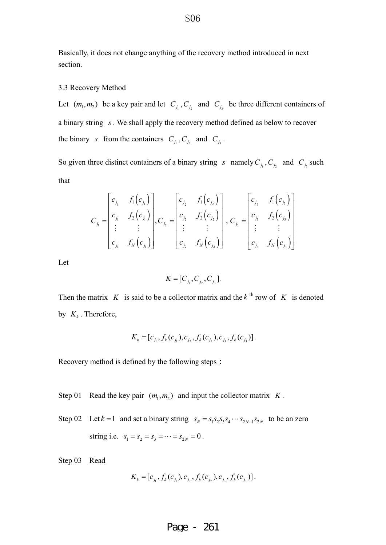Basically, it does not change anything of the recovery method introduced in next section.

#### 3.3 Recovery Method

Let  $(m_1, m_2)$  be a key pair and let  $C_{j_1}, C_{j_2}$  and  $C_{j_3}$  be three different containers of a binary string *s* . We shall apply the recovery method defined as below to recover the binary *s* from the containers  $C_i$ ,  $C_j$  and  $C_j$ .

So given three distinct containers of a binary string *s* namely  $C_{j_1}$ ,  $C_{j_2}$  and  $C_{j_3}$  such that

$$
C_{j_1} = \begin{bmatrix} c_{j_1} & f_1(c_{j_1}) \\ c_{j_1} & f_2(c_{j_1}) \\ \vdots & \vdots \\ c_{j_1} & f_N(c_{j_1}) \end{bmatrix}, C_{j_2} = \begin{bmatrix} c_{j_2} & f_1(c_{j_2}) \\ c_{j_2} & f_2(c_{j_2}) \\ \vdots & \vdots \\ c_{j_2} & f_N(c_{j_2}) \end{bmatrix}, C_{j_3} = \begin{bmatrix} c_{j_3} & f_1(c_{j_3}) \\ c_{j_3} & f_2(c_{j_3}) \\ \vdots & \vdots \\ c_{j_3} & f_N(c_{j_3}) \end{bmatrix}
$$

Let

$$
K=[C_{j_1},C_{j_2},C_{j_3}].
$$

Then the matrix *K* is said to be a collector matrix and the  $k^{\text{th}}$  row of *K* is denoted by  $K_k$ . Therefore,

$$
K_k = [c_{j_1}, f_k(c_{j_1}), c_{j_2}, f_k(c_{j_2}), c_{j_3}, f_k(c_{j_3})].
$$

Recovery method is defined by the following steps:

- Step 01 Read the key pair  $(m_1, m_2)$  and input the collector matrix *K*.
- Step 02 Let  $k = 1$  and set a binary string  $s_R = s_1 s_2 s_3 s_4 \cdots s_{2N-1} s_{2N}$  to be an zero string i.e.  $s_1 = s_2 = s_3 = \cdots = s_{2N} = 0$ .

Step 03 Read

$$
K_{k} = [c_{j_1}, f_k(c_{j_1}), c_{j_2}, f_k(c_{j_2}), c_{j_3}, f_k(c_{j_3})].
$$

#### S<sub>06</sub>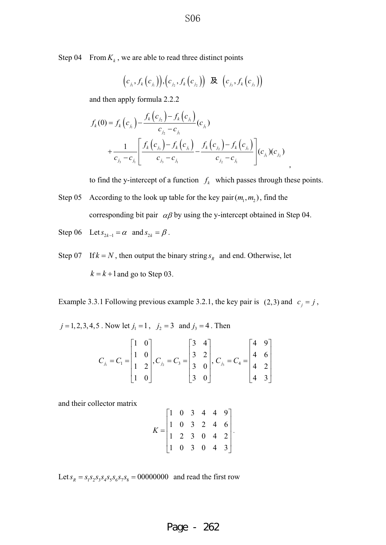Step 04 From  $K_k$ , we are able to read three distinct points

$$
\left(c_{j_1}, f_k(c_{j_1})\right), \left(c_{j_2}, f_k(c_{j_2})\right) \; \; \mathcal{R} \; \; \left(c_{j_3}, f_k(c_{j_3})\right)
$$

and then apply formula 2.2.2

$$
f_k(0) = f_k(c_{j_1}) - \frac{f_k(c_{j_2}) - f_k(c_{j_1})}{c_{j_2} - c_{j_1}}(c_{j_1})
$$
  
+ 
$$
\frac{1}{c_{j_3} - c_{j_1}} \left[ \frac{f_k(c_{j_3}) - f_k(c_{j_1})}{c_{j_3} - c_{j_1}} - \frac{f_k(c_{j_2}) - f_k(c_{j_1})}{c_{j_2} - c_{j_1}} \right](c_{j_1})(c_{j_2})
$$

to find the y-intercept of a function  $f_k$  which passes through these points.

- Step 05 According to the look up table for the key pair  $(m_1, m_2)$ , find the corresponding bit pair  $\alpha\beta$  by using the y-intercept obtained in Step 04.
- Step 06 Let  $s_{2k-1} = \alpha$  and  $s_{2k} = \beta$ .

Step 07 If  $k = N$ , then output the binary string  $s_R$  and end. Otherwise, let  $k = k + 1$  and go to Step 03.

Example 3.3.1 Following previous example 3.2.1, the key pair is (2,3) and  $c_j = j$ ,

 $j = 1, 2, 3, 4, 5$ . Now let  $j_1 = 1$ ,  $j_2 = 3$  and  $j_3 = 4$ . Then

$$
C_{j_1} = C_1 = \begin{bmatrix} 1 & 0 \\ 1 & 0 \\ 1 & 2 \\ 1 & 0 \end{bmatrix}, C_{j_2} = C_3 = \begin{bmatrix} 3 & 4 \\ 3 & 2 \\ 3 & 0 \\ 3 & 0 \end{bmatrix}, C_{j_3} = C_4 = \begin{bmatrix} 4 & 9 \\ 4 & 6 \\ 4 & 2 \\ 4 & 3 \end{bmatrix}
$$

and their collector matrix

$$
K = \begin{bmatrix} 1 & 0 & 3 & 4 & 4 & 9 \\ 1 & 0 & 3 & 2 & 4 & 6 \\ 1 & 2 & 3 & 0 & 4 & 2 \\ 1 & 0 & 3 & 0 & 4 & 3 \end{bmatrix}
$$

.

Let  $s_R = s_1 s_2 s_3 s_4 s_5 s_6 s_7 s_8 = 00000000$  and read the first row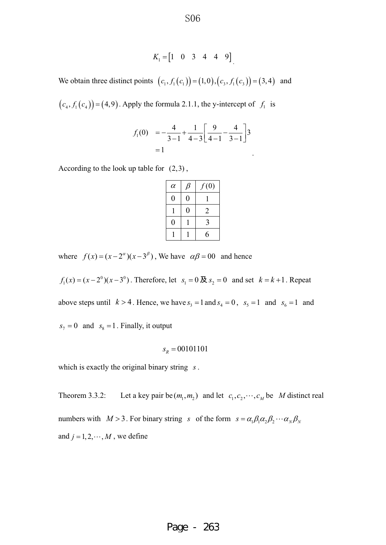$$
K_1 = \begin{bmatrix} 1 & 0 & 3 & 4 & 4 & 9 \end{bmatrix}
$$

We obtain three distinct points  $(c_1, f_1(c_1)) = (1,0), (c_3, f_1(c_3)) = (3,4)$  and

 $(c_4, f_1(c_4)) = (4, 9)$ . Apply the formula 2.1.1, the y-intercept of  $f_1$  is

$$
f_1(0) = -\frac{4}{3-1} + \frac{1}{4-3} \left[ \frac{9}{4-1} - \frac{4}{3-1} \right] 3
$$
  
= 1

According to the look up table for  $(2,3)$ ,

| $\alpha$ | ß                | f(0)           |
|----------|------------------|----------------|
| 0        | 0                |                |
|          | $\boldsymbol{0}$ | $\overline{2}$ |
| 0        |                  | 3              |
|          |                  | 6              |

where  $f(x) = (x - 2^{\alpha})(x - 3^{\beta})$ , We have  $\alpha\beta = 00$  and hence

 $f_1(x) = (x - 2^0)(x - 3^0)$ . Therefore, let  $s_1 = 0 \cancel{R} s_2 = 0$  and set  $k = k + 1$ . Repeat

above steps until  $k > 4$ . Hence, we have  $s_3 = 1$  and  $s_4 = 0$ ,  $s_5 = 1$  and  $s_6 = 1$  and

 $s_7 = 0$  and  $s_8 = 1$ . Finally, it output

$$
s_R = 00101101
$$

which is exactly the original binary string *s* .

Theorem 3.3.2: Let a key pair be  $(m_1, m_2)$  and let  $c_1, c_2, \dots, c_M$  be *M* distinct real numbers with  $M > 3$ . For binary string *s* of the form  $s = \alpha_1 \beta_1 \alpha_2 \beta_2 \cdots \alpha_N \beta_N$ and  $j = 1, 2, \dots, M$ , we define

Page - 263

S<sub>06</sub>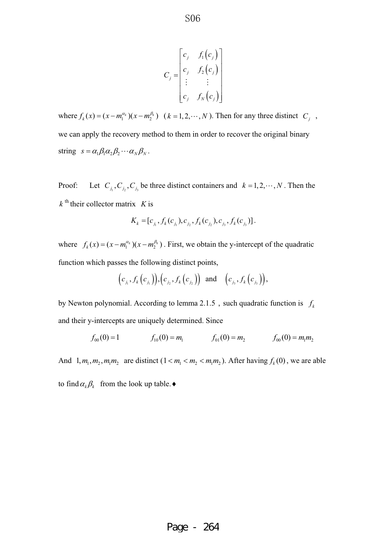$$
C_j = \begin{bmatrix} c_j & f_1(c_j) \\ c_j & f_2(c_j) \\ \vdots & \vdots \\ c_j & f_N(c_j) \end{bmatrix}
$$

where  $f_k(x) = (x - m_1^{\alpha_k})(x - m_2^{\beta_k})$   $(k = 1, 2, \dots, N)$ . Then for any three distinct  $C_j$ , we can apply the recovery method to them in order to recover the original binary string  $s = \alpha_1 \beta_1 \alpha_2 \beta_2 \cdots \alpha_N \beta_N$ .

Proof: Let  $C_{j_1}, C_{j_2}, C_{j_3}$  be three distinct containers and  $k = 1, 2, \dots, N$ . Then the  $k^{\text{th}}$  their collector matrix *K* is

$$
K_{k} = [c_{j_1}, f_k(c_{j_1}), c_{j_2}, f_k(c_{j_2}), c_{j_3}, f_k(c_{j_3})].
$$

where  $f_k(x) = (x - m_1^{\alpha_k})(x - m_2^{\beta_k})$ . First, we obtain the y-intercept of the quadratic function which passes the following distinct points,

$$
(c_{j_1}, f_k(c_{j_1})), (c_{j_2}, f_k(c_{j_2}))
$$
 and  $(c_{j_3}, f_k(c_{j_3})),$ 

by Newton polynomial. According to lemma 2.1.5 , such quadratic function is  $f_k$ and their y-intercepts are uniquely determined. Since

$$
f_{00}(0) = 1
$$
  $f_{10}(0) = m_1$   $f_{01}(0) = m_2$   $f_{00}(0) = m_1 m_2$ 

And  $1, m_1, m_2, m_1m_2$  are distinct  $(1 < m_1 < m_2 < m_1m_2)$ . After having  $f_k(0)$ , we are able

to find  $\alpha_k \beta_k$  from the look up table.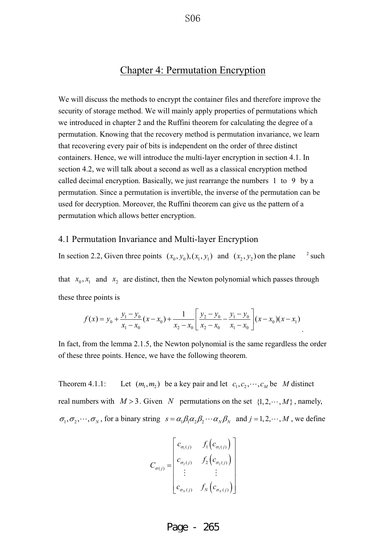## Chapter 4: Permutation Encryption

We will discuss the methods to encrypt the container files and therefore improve the security of storage method. We will mainly apply properties of permutations which we introduced in chapter 2 and the Ruffini theorem for calculating the degree of a permutation. Knowing that the recovery method is permutation invariance, we learn that recovering every pair of bits is independent on the order of three distinct containers. Hence, we will introduce the multi-layer encryption in section 4.1. In section 4.2, we will talk about a second as well as a classical encryption method called decimal encryption. Basically, we just rearrange the numbers 1 to 9 by a permutation. Since a permutation is invertible, the inverse of the permutation can be used for decryption. Moreover, the Ruffini theorem can give us the pattern of a permutation which allows better encryption.

#### 4.1 Permutation Invariance and Multi-layer Encryption

In section 2.2, Given three points  $(x_0, y_0), (x_1, y_1)$  and  $(x_2, y_2)$  on the plane <sup>2</sup> such

that  $x_0, x_1$  and  $x_2$  are distinct, then the Newton polynomial which passes through these three points is

$$
f(x) = y_0 + \frac{y_1 - y_0}{x_1 - x_0}(x - x_0) + \frac{1}{x_2 - x_0} \left[ \frac{y_2 - y_0}{x_2 - x_0} - \frac{y_1 - y_0}{x_1 - x_0} \right] (x - x_0)(x - x_1)
$$

In fact, from the lemma 2.1.5, the Newton polynomial is the same regardless the order of these three points. Hence, we have the following theorem.

Theorem 4.1.1: Let  $(m_1, m_2)$  be a key pair and let  $c_1, c_2, \dots, c_M$  be *M* distinct real numbers with  $M > 3$ . Given *N* permutations on the set  $\{1, 2, \dots, M\}$ , namely,  $\sigma_1, \sigma_2, \cdots, \sigma_N$ , for a binary string  $s = \alpha_1 \beta_1 \alpha_2 \beta_2 \cdots \alpha_N \beta_N$  and  $j = 1, 2, \cdots, M$ , we define

$$
C_{\sigma(j)} = \begin{bmatrix} c_{\sigma_1(j)} & f_1(c_{\sigma_1(j)}) \\ c_{\sigma_2(j)} & f_2(c_{\sigma_2(j)}) \\ \vdots & \vdots \\ c_{\sigma_N(j)} & f_N(c_{\sigma_N(j)}) \end{bmatrix}
$$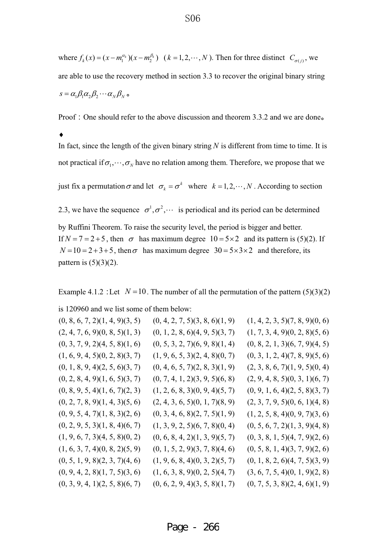where  $f_k(x) = (x - m_1^{\alpha_k})(x - m_2^{\beta_k})$   $(k = 1, 2, \dots, N)$ . Then for three distinct  $C_{\sigma(j)}$ , we are able to use the recovery method in section 3.3 to recover the original binary string  $s = \alpha_1 \beta_1 \alpha_2 \beta_2 \cdots \alpha_N \beta_N$   $\circ$ 

Proof : One should refer to the above discussion and theorem 3.3.2 and we are done.

 $\blacklozenge$ 

In fact, since the length of the given binary string  $N$  is different from time to time. It is not practical if  $\sigma_1, \dots, \sigma_N$  have no relation among them. Therefore, we propose that we

just fix a permutation  $\sigma$  and let  $\sigma_k = \sigma^k$  where  $k = 1, 2, \dots, N$ . According to section

2.3, we have the sequence  $\sigma^1, \sigma^2, \cdots$  is periodical and its period can be determined by Ruffini Theorem. To raise the security level, the period is bigger and better. If  $N = 7 = 2 + 5$ , then  $\sigma$  has maximum degree  $10 = 5 \times 2$  and its pattern is (5)(2). If  $N = 10 = 2 + 3 + 5$ , then  $\sigma$  has maximum degree  $30 = 5 \times 3 \times 2$  and therefore, its pattern is  $(5)(3)(2)$ .

Example 4.1.2 : Let  $N = 10$ . The number of all the permutation of the pattern (5)(3)(2)

is 120960 and we list some of them below:

| (0, 8, 6, 7, 2)(1, 4, 9)(3, 5) | (0, 4, 2, 7, 5)(3, 8, 6)(1, 9)         | (1, 4, 2, 3, 5)(7, 8, 9)(0, 6)         |
|--------------------------------|----------------------------------------|----------------------------------------|
| (2, 4, 7, 6, 9)(0, 8, 5)(1, 3) | $(0, 1, 2, 8, 6)$ $(4, 9, 5)$ $(3, 7)$ | (1, 7, 3, 4, 9)(0, 2, 8)(5, 6)         |
| (0, 3, 7, 9, 2)(4, 5, 8)(1, 6) | $(0, 5, 3, 2, 7)$ $(6, 9, 8)$ $(1, 4)$ | (0, 8, 2, 1, 3)(6, 7, 9)(4, 5)         |
| (1, 6, 9, 4, 5)(0, 2, 8)(3, 7) | (1, 9, 6, 5, 3)(2, 4, 8)(0, 7)         | $(0, 3, 1, 2, 4)$ $(7, 8, 9)$ $(5, 6)$ |
| (0, 1, 8, 9, 4)(2, 5, 6)(3, 7) | (0, 4, 6, 5, 7)(2, 8, 3)(1, 9)         | (2, 3, 8, 6, 7)(1, 9, 5)(0, 4)         |
| (0, 2, 8, 4, 9)(1, 6, 5)(3, 7) | (0, 7, 4, 1, 2)(3, 9, 5)(6, 8)         | (2, 9, 4, 8, 5)(0, 3, 1)(6, 7)         |
| (0, 8, 9, 5, 4)(1, 6, 7)(2, 3) | (1, 2, 6, 8, 3)(0, 9, 4)(5, 7)         | (0, 9, 1, 6, 4)(2, 5, 8)(3, 7)         |
| (0, 2, 7, 8, 9)(1, 4, 3)(5, 6) | (2, 4, 3, 6, 5)(0, 1, 7)(8, 9)         | (2, 3, 7, 9, 5)(0, 6, 1)(4, 8)         |
| (0, 9, 5, 4, 7)(1, 8, 3)(2, 6) | (0, 3, 4, 6, 8)(2, 7, 5)(1, 9)         | (1, 2, 5, 8, 4)(0, 9, 7)(3, 6)         |
| (0, 2, 9, 5, 3)(1, 8, 4)(6, 7) | (1, 3, 9, 2, 5)(6, 7, 8)(0, 4)         | (0, 5, 6, 7, 2)(1, 3, 9)(4, 8)         |
| (1, 9, 6, 7, 3)(4, 5, 8)(0, 2) | (0, 6, 8, 4, 2)(1, 3, 9)(5, 7)         | (0, 3, 8, 1, 5)(4, 7, 9)(2, 6)         |
| (1, 6, 3, 7, 4)(0, 8, 2)(5, 9) | (0, 1, 5, 2, 9)(3, 7, 8)(4, 6)         | (0, 5, 8, 1, 4)(3, 7, 9)(2, 6)         |
| (0, 5, 1, 9, 8)(2, 3, 7)(4, 6) | (1, 9, 6, 8, 4)(0, 3, 2)(5, 7)         | $(0, 1, 8, 2, 6)$ $(4, 7, 5)$ $(3, 9)$ |
| (0, 9, 4, 2, 8)(1, 7, 5)(3, 6) | (1, 6, 3, 8, 9)(0, 2, 5)(4, 7)         | (3, 6, 7, 5, 4)(0, 1, 9)(2, 8)         |
| (0, 3, 9, 4, 1)(2, 5, 8)(6, 7) | (0, 6, 2, 9, 4)(3, 5, 8)(1, 7)         | (0, 7, 5, 3, 8)(2, 4, 6)(1, 9)         |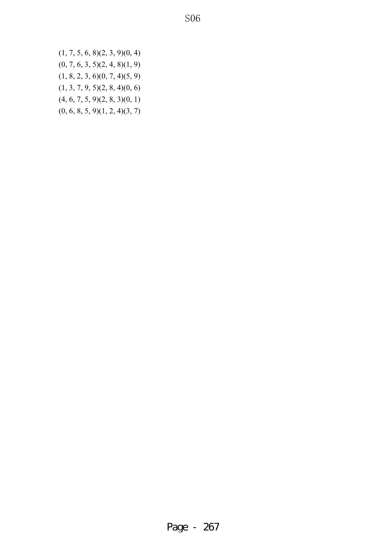$(1, 7, 5, 6, 8)(2, 3, 9)(0, 4)$  $(0, 7, 6, 3, 5)(2, 4, 8)(1, 9)$ (1, 8, 2, 3, 6)(0, 7, 4)(5, 9) (1, 3, 7, 9, 5)(2, 8, 4)(0, 6)  $(4, 6, 7, 5, 9)(2, 8, 3)(0, 1)$  $(0, 6, 8, 5, 9)(1, 2, 4)(3, 7)$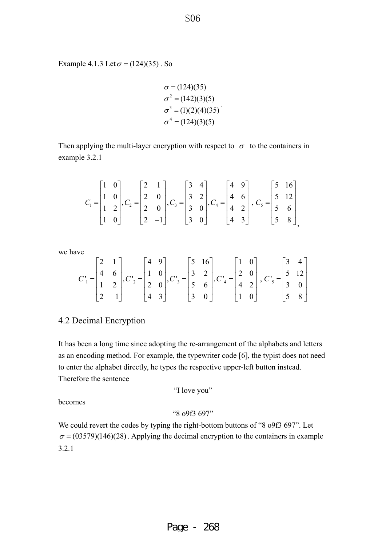Example 4.1.3 Let  $\sigma = (124)(35)$ . So

 $\sigma^2 = (142)(3)(5)$  $\sigma^3 = (1)(2)(4)(35)$  $\sigma^4 = (124)(3)(5)$  $\sigma = (124)(35)$ 

Then applying the multi-layer encryption with respect to  $\sigma$  to the containers in example 3.2.1

$$
C_1 = \begin{bmatrix} 1 & 0 \\ 1 & 0 \\ 1 & 2 \\ 1 & 0 \end{bmatrix}, C_2 = \begin{bmatrix} 2 & 1 \\ 2 & 0 \\ 2 & 0 \\ 2 & -1 \end{bmatrix}, C_3 = \begin{bmatrix} 3 & 4 \\ 3 & 2 \\ 3 & 0 \\ 3 & 0 \end{bmatrix}, C_4 = \begin{bmatrix} 4 & 9 \\ 4 & 6 \\ 4 & 2 \\ 4 & 3 \end{bmatrix}, C_5 = \begin{bmatrix} 5 & 16 \\ 5 & 12 \\ 5 & 6 \\ 5 & 8 \end{bmatrix},
$$

we have

$$
C_1 = \begin{bmatrix} 2 & 1 \\ 4 & 6 \\ 1 & 2 \\ 2 & -1 \end{bmatrix}, C_2 = \begin{bmatrix} 4 & 9 \\ 1 & 0 \\ 2 & 0 \\ 4 & 3 \end{bmatrix}, C_3 = \begin{bmatrix} 5 & 16 \\ 3 & 2 \\ 5 & 6 \\ 3 & 0 \end{bmatrix}, C_4 = \begin{bmatrix} 1 & 0 \\ 2 & 0 \\ 4 & 2 \\ 1 & 0 \end{bmatrix}, C_5 = \begin{bmatrix} 3 & 4 \\ 5 & 12 \\ 3 & 0 \\ 5 & 8 \end{bmatrix}
$$

## 4.2 Decimal Encryption

It has been a long time since adopting the re-arrangement of the alphabets and letters as an encoding method. For example, the typewriter code [6], the typist does not need to enter the alphabet directly, he types the respective upper-left button instead. Therefore the sentence

"I love you"

becomes

"8 o9f3 697"

We could revert the codes by typing the right-bottom buttons of "8 o9f3 697". Let  $\sigma = (03579)(146)(28)$ . Applying the decimal encryption to the containers in example 3.2.1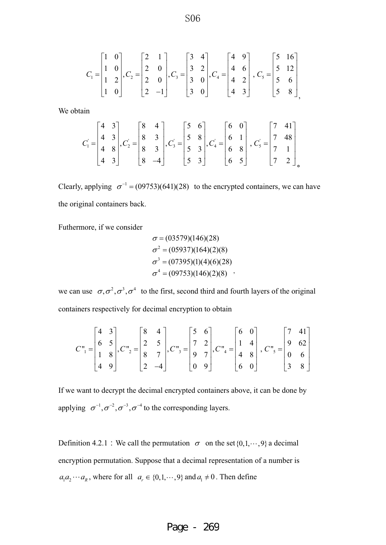$$
C_1 = \begin{bmatrix} 1 & 0 \\ 1 & 0 \\ 1 & 2 \\ 1 & 0 \end{bmatrix}, C_2 = \begin{bmatrix} 2 & 1 \\ 2 & 0 \\ 2 & 0 \\ 2 & -1 \end{bmatrix}, C_3 = \begin{bmatrix} 3 & 4 \\ 3 & 2 \\ 3 & 0 \\ 3 & 0 \end{bmatrix}, C_4 = \begin{bmatrix} 4 & 9 \\ 4 & 6 \\ 4 & 2 \\ 4 & 3 \end{bmatrix}, C_5 = \begin{bmatrix} 5 & 16 \\ 5 & 12 \\ 5 & 6 \\ 5 & 8 \end{bmatrix},
$$

We obtain

$$
C_1 = \begin{bmatrix} 4 & 3 \\ 4 & 3 \\ 4 & 8 \\ 4 & 3 \end{bmatrix}, C_2 = \begin{bmatrix} 8 & 4 \\ 8 & 3 \\ 8 & 3 \\ 8 & -4 \end{bmatrix}, C_3 = \begin{bmatrix} 5 & 6 \\ 5 & 8 \\ 5 & 3 \\ 5 & 3 \end{bmatrix}, C_4 = \begin{bmatrix} 6 & 0 \\ 6 & 1 \\ 6 & 8 \\ 6 & 5 \end{bmatrix}, C_5 = \begin{bmatrix} 7 & 41 \\ 7 & 48 \\ 7 & 1 \\ 7 & 2 \end{bmatrix}_{\circ}
$$

Clearly, applying  $\sigma^{-1} = (0.09753)(641)(28)$  to the encrypted containers, we can have the original containers back.

Futhermore, if we consider

$$
\sigma = (03579)(146)(28)
$$
  
\n
$$
\sigma^2 = (05937)(164)(2)(8)
$$
  
\n
$$
\sigma^3 = (07395)(1)(4)(6)(28)
$$
  
\n
$$
\sigma^4 = (09753)(146)(2)(8)
$$

we can use  $\sigma, \sigma^2, \sigma^3, \sigma^4$  to the first, second third and fourth layers of the original containers respectively for decimal encryption to obtain

$$
C_{1}^{n} = \begin{bmatrix} 4 & 3 \\ 6 & 5 \\ 1 & 8 \\ 4 & 9 \end{bmatrix}, C_{2}^{n} = \begin{bmatrix} 8 & 4 \\ 2 & 5 \\ 8 & 7 \\ 2 & -4 \end{bmatrix}, C_{3}^{n} = \begin{bmatrix} 5 & 6 \\ 7 & 2 \\ 9 & 7 \\ 0 & 9 \end{bmatrix}, C_{4}^{n} = \begin{bmatrix} 6 & 0 \\ 1 & 4 \\ 4 & 8 \\ 6 & 0 \end{bmatrix}, C_{5}^{n} = \begin{bmatrix} 7 & 41 \\ 9 & 62 \\ 0 & 6 \\ 3 & 8 \end{bmatrix}
$$

If we want to decrypt the decimal encrypted containers above, it can be done by applying  $\sigma^{-1}, \sigma^{-2}, \sigma^{-3}, \sigma^{-4}$  to the corresponding layers.

Definition 4.2.1 : We call the permutation  $\sigma$  on the set {0,1,  $\cdots$ , 9} a decimal encryption permutation. Suppose that a decimal representation of a number is  $a_1 a_2 \cdots a_k$ , where for all  $a_r \in \{0, 1, \dots, 9\}$  and  $a_1 \neq 0$ . Then define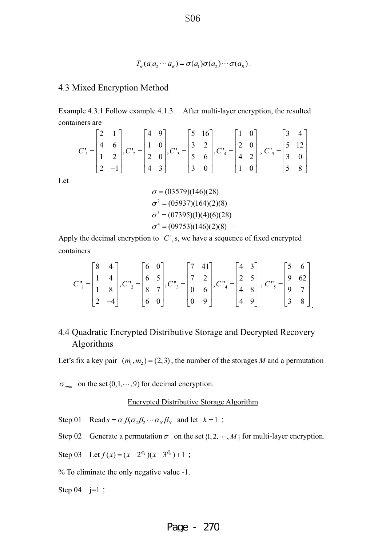$$
T_{\sigma}(a_1a_2\cdots a_k)=\sigma(a_1)\sigma(a_2)\cdots \sigma(a_k).
$$

### 4.3 Mixed Encryption Method

Example 4.3.1 Follow example 4.1.3. After multi-layer encryption, the resulted containers are

$$
C_1 = \begin{bmatrix} 2 & 1 \\ 4 & 6 \\ 1 & 2 \\ 2 & -1 \end{bmatrix}, C_2 = \begin{bmatrix} 4 & 9 \\ 1 & 0 \\ 2 & 0 \\ 4 & 3 \end{bmatrix}, C_3 = \begin{bmatrix} 5 & 16 \\ 3 & 2 \\ 5 & 6 \\ 3 & 0 \end{bmatrix}, C_4 = \begin{bmatrix} 1 & 0 \\ 2 & 0 \\ 4 & 2 \\ 1 & 0 \end{bmatrix}, C_5 = \begin{bmatrix} 3 & 4 \\ 5 & 12 \\ 3 & 0 \\ 5 & 8 \end{bmatrix}
$$

Let

$$
\sigma = (03579)(146)(28)
$$
  
\n
$$
\sigma^2 = (05937)(164)(2)(8)
$$
  
\n
$$
\sigma^3 = (07395)(1)(4)(6)(28)
$$
  
\n
$$
\sigma^4 = (09753)(146)(2)(8)
$$

Apply the decimal encryption to  $C'$  *i* s, we have a sequence of fixed encrypted containers

$$
C_{1}^{n} = \begin{bmatrix} 8 & 4 \\ 1 & 4 \\ 1 & 8 \\ 2 & -4 \end{bmatrix}, C_{2}^{n} = \begin{bmatrix} 6 & 0 \\ 6 & 5 \\ 8 & 7 \\ 6 & 0 \end{bmatrix}, C_{3}^{n} = \begin{bmatrix} 7 & 41 \\ 7 & 2 \\ 0 & 6 \\ 0 & 9 \end{bmatrix}, C_{4}^{n} = \begin{bmatrix} 4 & 3 \\ 2 & 5 \\ 4 & 8 \\ 4 & 9 \end{bmatrix}, C_{5}^{n} = \begin{bmatrix} 5 & 6 \\ 9 & 62 \\ 9 & 7 \\ 3 & 8 \end{bmatrix}.
$$

# 4.4 Quadratic Encrypted Distributive Storage and Decrypted Recovery Algorithms

Let's fix a key pair  $(m_1, m_2) = (2,3)$ , the number of the storages *M* and a permutation

 $\sigma_{\textit{num}}$  on the set {0,1, $\cdots$ , 9} for decimal encryption.

#### Encrypted Distributive Storage Algorithm

Step 01 Read  $s = \alpha_1 \beta_1 \alpha_2 \beta_2 \cdots \alpha_N \beta_N$  and let  $k = 1$ ;

Step 02 Generate a permutation  $\sigma$  on the set  $\{1, 2, \cdots, M\}$  for multi-layer encryption.

Step 03 Let  $f(x) = (x - 2^{\alpha_k})(x - 3^{\beta_k}) + 1$ ;

% To eliminate the only negative value -1.

Step 04  $j=1$ ;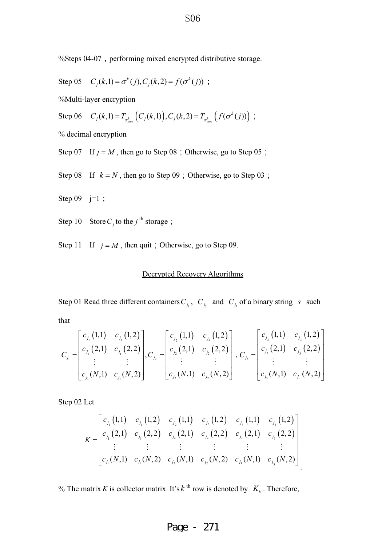%Steps 04-07, performing mixed encrypted distributive storage.

Step 05 
$$
C_j(k,1) = \sigma^k(j), C_j(k,2) = f(\sigma^k(j))
$$
;

%Multi-layer encryption

Step 06  $C_j(k,1) = T_{\sigma_{num}^k} (C_j(k,1)), C_j(k,2) = T_{\sigma_{num}^k} (f(\sigma^k(j)))$ ;

% decimal encryption

Step 07 If  $j = M$ , then go to Step 08 ; Otherwise, go to Step 05 ;

Step 08 If  $k = N$ , then go to Step 09 ; Otherwise, go to Step 03 ;

Step  $09$  j=1 ;

Step 10 Store  $C_i$  to the *j*<sup>th</sup> storage ;

Step 11 If  $j = M$ , then quit ; Otherwise, go to Step 09.

#### Decrypted Recovery Algorithms

Step 01 Read three different containers  $C_{j_1}$ ,  $C_{j_2}$  and  $C_{j_3}$  of a binary string *s* such

that

$$
C_{j_1} = \begin{bmatrix} c_{j_1}(1,1) & c_{j_1}(1,2) \\ c_{j_1}(2,1) & c_{j_1}(2,2) \\ \vdots & \vdots \\ c_{j_1}(N,1) & c_{j_1}(N,2) \end{bmatrix}, C_{j_2} = \begin{bmatrix} c_{j_2}(1,1) & c_{j_2}(1,2) \\ c_{j_2}(2,1) & c_{j_2}(2,2) \\ \vdots & \vdots \\ c_{j_2}(N,1) & c_{j_2}(N,2) \end{bmatrix}, C_{j_3} = \begin{bmatrix} c_{j_3}(1,1) & c_{j_3}(1,2) \\ c_{j_3}(2,1) & c_{j_3}(2,2) \\ \vdots & \vdots \\ c_{j_3}(N,1) & c_{j_3}(N,2) \end{bmatrix}
$$

Step 02 Let

$$
K = \begin{bmatrix} c_{j_1}(1,1) & c_{j_1}(1,2) & c_{j_2}(1,1) & c_{j_2}(1,2) & c_{j_3}(1,1) & c_{j_3}(1,2) \\ c_{j_1}(2,1) & c_{j_1}(2,2) & c_{j_2}(2,1) & c_{j_2}(2,2) & c_{j_3}(2,1) & c_{j_3}(2,2) \\ \vdots & \vdots & \vdots & \vdots & \vdots & \vdots \\ c_{j_1}(N,1) & c_{j_1}(N,2) & c_{j_2}(N,1) & c_{j_2}(N,2) & c_{j_3}(N,1) & c_{j_3}(N,2) \end{bmatrix}
$$

.

% The matrix *K* is collector matrix. It's  $k^{\text{th}}$  row is denoted by  $K_k$ . Therefore,

Page - 271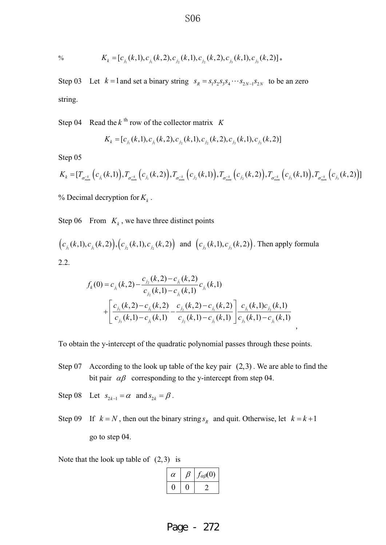<sup>9</sup>/<sub>0</sub> 
$$
K_k = [c_{j_1}(k,1), c_{j_1}(k,2), c_{j_2}(k,1), c_{j_2}(k,2), c_{j_3}(k,1), c_{j_3}(k,2)]
$$

Step 03 Let  $k = 1$  and set a binary string  $s_R = s_1 s_2 s_3 s_4 \cdots s_{2N-1} s_{2N}$  to be an zero string.

Step 04 Read the  $k^{\text{th}}$  row of the collector matrix  $K$ 

$$
K_k = [c_{j_1}(k,1), c_{j_1}(k,2), c_{j_2}(k,1), c_{j_2}(k,2), c_{j_3}(k,1), c_{j_3}(k,2)]
$$

Step 05

$$
K_{k} = [T_{\sigma_{num}^{-k}}(c_{j_{1}}(k,1)), T_{\sigma_{num}^{-k}}(c_{j_{1}}(k,2)), T_{\sigma_{num}^{-k}}(c_{j_{2}}(k,1)), T_{\sigma_{num}^{-k}}(c_{j_{2}}(k,2)), T_{\sigma_{num}^{-k}}(c_{j_{3}}(k,1)), T_{\sigma_{num}^{-k}}(c_{j_{4}}(k,2))]
$$

% Decimal decryption for  $K_k$ .

Step 06 From  $K_k$ , we have three distinct points

$$
(c_{j_1}(k,1), c_{j_1}(k,2)), (c_{j_2}(k,1), c_{j_2}(k,2))
$$
 and  $(c_{j_3}(k,1), c_{j_3}(k,2))$ . Then apply formula  
2.2.

$$
f_k(0) = c_{j_1}(k,2) - \frac{c_{j_2}(k,2) - c_{j_1}(k,2)}{c_{j_2}(k,1) - c_{j_1}(k,1)} c_{j_1}(k,1)
$$
  
+ 
$$
\left[ \frac{c_{j_3}(k,2) - c_{j_1}(k,2)}{c_{j_3}(k,1) - c_{j_1}(k,1)} - \frac{c_{j_2}(k,2) - c_{j_1}(k,2)}{c_{j_2}(k,1) - c_{j_1}(k,1)} \right] \frac{c_{j_1}(k,1)c_{j_2}(k,1)}{c_{j_3}(k,1) - c_{j_1}(k,1)} d_{j_2}(k,1)
$$

To obtain the y-intercept of the quadratic polynomial passes through these points.

- Step 07 According to the look up table of the key pair (2,3) . We are able to find the bit pair  $\alpha\beta$  corresponding to the y-intercept from step 04.
- Step 08 Let  $s_{2k-1} = \alpha$  and  $s_{2k} = \beta$ .
- Step 09 If  $k = N$ , then out the binary string  $s_R$  and quit. Otherwise, let  $k = k + 1$ go to step 04.

Note that the look up table of  $(2,3)$  is

| $\alpha$ | $t_{\alpha\beta}(0)$ |
|----------|----------------------|
|          |                      |

S<sub>06</sub>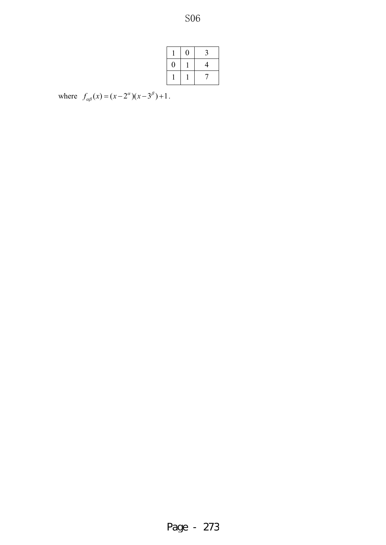S<sub>06</sub>

|   | 0 | 3              |
|---|---|----------------|
| O |   | $\overline{4}$ |
|   |   |                |

where  $f_{\alpha\beta}(x) = (x - 2^{\alpha})(x - 3^{\beta}) + 1$ .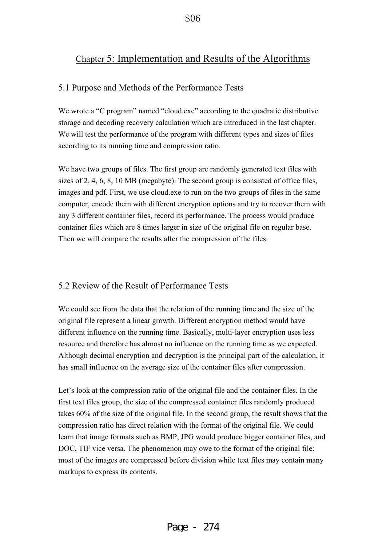$S<sub>06</sub>$ 

# Chapter 5: Implementation and Results of the Algorithms

### 5.1 Purpose and Methods of the Performance Tests

We wrote a "C program" named "cloud.exe" according to the quadratic distributive storage and decoding recovery calculation which are introduced in the last chapter. We will test the performance of the program with different types and sizes of files according to its running time and compression ratio.

We have two groups of files. The first group are randomly generated text files with sizes of 2, 4, 6, 8, 10 MB (megabyte). The second group is consisted of office files, images and pdf. First, we use cloud.exe to run on the two groups of files in the same computer, encode them with different encryption options and try to recover them with any 3 different container files, record its performance. The process would produce container files which are 8 times larger in size of the original file on regular base. Then we will compare the results after the compression of the files.

## 5.2 Review of the Result of Performance Tests

We could see from the data that the relation of the running time and the size of the original file represent a linear growth. Different encryption method would have different influence on the running time. Basically, multi-layer encryption uses less resource and therefore has almost no influence on the running time as we expected. Although decimal encryption and decryption is the principal part of the calculation, it has small influence on the average size of the container files after compression.

Let's look at the compression ratio of the original file and the container files. In the first text files group, the size of the compressed container files randomly produced takes 60% of the size of the original file. In the second group, the result shows that the compression ratio has direct relation with the format of the original file. We could learn that image formats such as BMP, JPG would produce bigger container files, and DOC, TIF vice versa. The phenomenon may owe to the format of the original file: most of the images are compressed before division while text files may contain many markups to express its contents.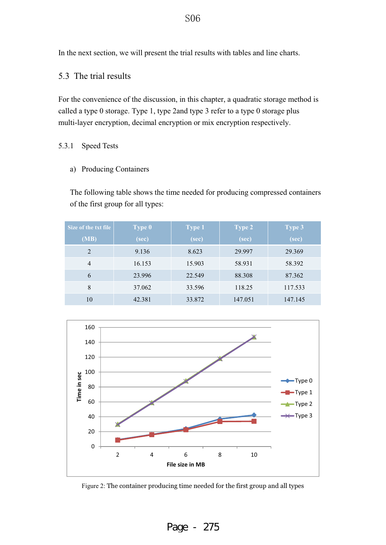In the next section, we will present the trial results with tables and line charts.

## 5.3 The trial results

For the convenience of the discussion, in this chapter, a quadratic storage method is called a type 0 storage. Type 1, type 2and type 3 refer to a type 0 storage plus multi-layer encryption, decimal encryption or mix encryption respectively.

#### 5.3.1 Speed Tests

a) Producing Containers

The following table shows the time needed for producing compressed containers of the first group for all types:

| Size of the txt file | <b>Type 0</b> | <b>Type 1</b> | <b>Type 2</b> | <b>Type 3</b> |
|----------------------|---------------|---------------|---------------|---------------|
| (MB)                 | (sec)         | (sec)         | (sec)         | (sec)         |
| 2                    | 9.136         | 8.623         | 29.997        | 29.369        |
| $\overline{4}$       | 16.153        | 15.903        | 58.931        | 58.392        |
| 6                    | 23.996        | 22.549        | 88.308        | 87.362        |
| 8                    | 37.062        | 33.596        | 118.25        | 117.533       |
| 10                   | 42.381        | 33.872        | 147.051       | 147.145       |



Figure 2: The container producing time needed for the first group and all types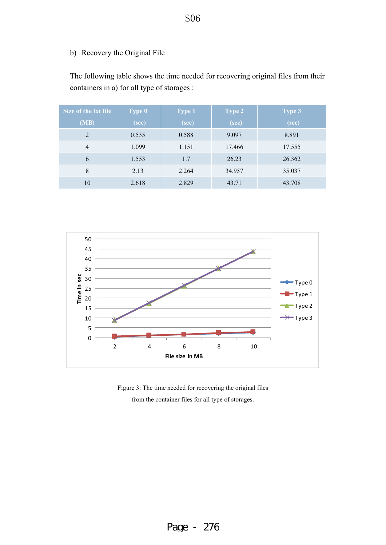## b) Recovery the Original File

The following table shows the time needed for recovering original files from their containers in a) for all type of storages :

| Size of the txt file | <b>Type 0</b> | <b>Type 1</b> | <b>Type 2</b> | <b>Type 3</b> |
|----------------------|---------------|---------------|---------------|---------------|
| (MB)                 | (sec)         | (sec)         | (sec)         | (sec)         |
| 2                    | 0.535         | 0.588         | 9.097         | 8.891         |
| $\overline{4}$       | 1.099         | 1.151         | 17.466        | 17.555        |
| 6                    | 1.553         | 1.7           | 26.23         | 26.362        |
| 8                    | 2.13          | 2.264         | 34.957        | 35.037        |
| 10                   | 2.618         | 2.829         | 43.71         | 43.708        |



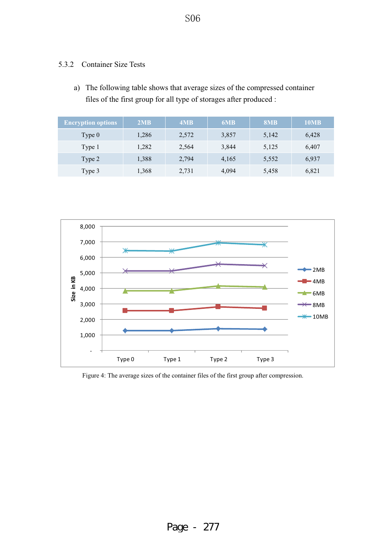### 5.3.2 Container Size Tests

a) The following table shows that average sizes of the compressed container files of the first group for all type of storages after produced :

| <b>Encryption options</b> | 2MB   | 4MB   | 6MB   | 8MB   | 10MB  |
|---------------------------|-------|-------|-------|-------|-------|
| Type $0$                  | 1,286 | 2,572 | 3,857 | 5,142 | 6.428 |
| Type 1                    | 1,282 | 2,564 | 3,844 | 5,125 | 6,407 |
| Type 2                    | 1,388 | 2,794 | 4,165 | 5,552 | 6,937 |
| Type 3                    | 1,368 | 2,731 | 4,094 | 5,458 | 6,821 |



Figure 4: The average sizes of the container files of the first group after compression.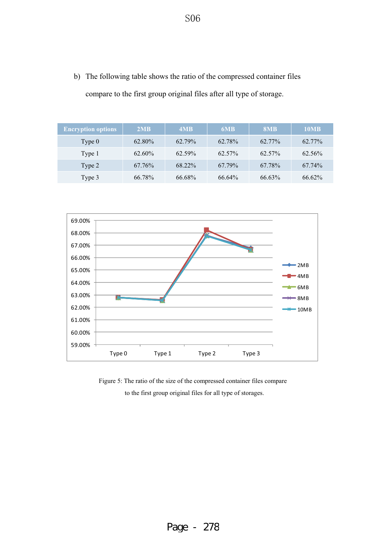b) The following table shows the ratio of the compressed container files compare to the first group original files after all type of storage.

| <b>Encryption options</b> | 2MB       | 4MB       | 6MB    | 8MB    | 10MB   |
|---------------------------|-----------|-----------|--------|--------|--------|
| Type $0$                  | 62.80%    | 62.79%    | 62.78% | 62.77% | 62.77% |
| Type 1                    | $62.60\%$ | $62.59\%$ | 62.57% | 62.57% | 62.56% |
| Type 2                    | 67.76%    | 68.22%    | 67.79% | 67.78% | 67.74% |
| Type 3                    | 66.78%    | 66.68%    | 66.64% | 66.63% | 66.62% |



Figure 5: The ratio of the size of the compressed container files compare to the first group original files for all type of storages.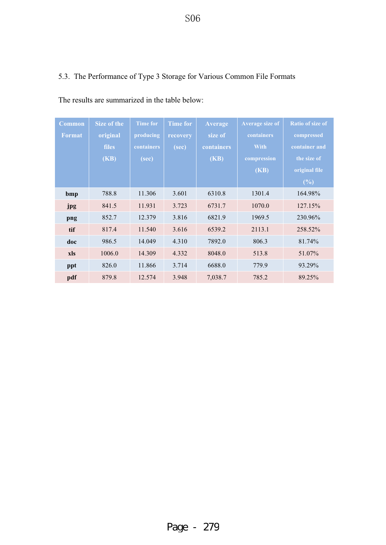S<sub>06</sub>

# 5.3. The Performance of Type 3 Storage for Various Common File Formats

| <b>Common</b> | Size of the  | <b>Time for</b> | <b>Time for</b> | <b>Average</b>    | Average size of | <b>Ratio of size of</b> |
|---------------|--------------|-----------------|-----------------|-------------------|-----------------|-------------------------|
| <b>Format</b> | original     | producing       | recovery        | size of           | containers      | compressed              |
|               | <b>files</b> | containers      | (sec)           | <b>containers</b> | <b>With</b>     | container and           |
|               | (KB)         | (sec)           |                 | (KB)              | compression     | the size of             |
|               |              |                 |                 |                   | (KB)            | original file           |
|               |              |                 |                 |                   |                 | (%)                     |
| bmp           | 788.8        | 11.306          | 3.601           | 6310.8            | 1301.4          | 164.98%                 |
| jpg           | 841.5        | 11.931          | 3.723           | 6731.7            | 1070.0          | 127.15%                 |
| png           | 852.7        | 12.379          | 3.816           | 6821.9            | 1969.5          | 230.96%                 |
| tif           | 817.4        | 11.540          | 3.616           | 6539.2            | 2113.1          | 258.52%                 |
| doc           | 986.5        | 14.049          | 4.310           | 7892.0            | 806.3           | 81.74%                  |
| xls           | 1006.0       | 14.309          | 4.332           | 8048.0            | 513.8           | 51.07%                  |
| ppt           | 826.0        | 11.866          | 3.714           | 6688.0            | 779.9           | 93.29%                  |
| pdf           | 879.8        | 12.574          | 3.948           | 7,038.7           | 785.2           | 89.25%                  |

The results are summarized in the table below: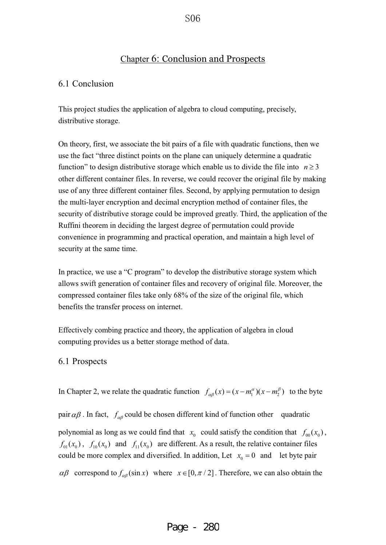## Chapter 6: Conclusion and Prospects

#### 6.1 Conclusion

This project studies the application of algebra to cloud computing, precisely, distributive storage.

On theory, first, we associate the bit pairs of a file with quadratic functions, then we use the fact "three distinct points on the plane can uniquely determine a quadratic function" to design distributive storage which enable us to divide the file into  $n \geq 3$ other different container files. In reverse, we could recover the original file by making use of any three different container files. Second, by applying permutation to design the multi-layer encryption and decimal encryption method of container files, the security of distributive storage could be improved greatly. Third, the application of the Ruffini theorem in deciding the largest degree of permutation could provide convenience in programming and practical operation, and maintain a high level of security at the same time.

In practice, we use a "C program" to develop the distributive storage system which allows swift generation of container files and recovery of original file. Moreover, the compressed container files take only 68% of the size of the original file, which benefits the transfer process on internet.

Effectively combing practice and theory, the application of algebra in cloud computing provides us a better storage method of data.

#### 6.1 Prospects

In Chapter 2, we relate the quadratic function  $f_{\alpha\beta}(x) = (x - m_1^{\alpha})(x - m_2^{\beta})$  to the byte

pair  $\alpha\beta$ . In fact,  $f_{\alpha\beta}$  could be chosen different kind of function other quadratic

polynomial as long as we could find that  $x_0$  could satisfy the condition that  $f_{00}(x_0)$ ,  $f_{01}(x_0)$ ,  $f_{10}(x_0)$  and  $f_{11}(x_0)$  are different. As a result, the relative container files could be more complex and diversified. In addition, Let  $x_0 = 0$  and let byte pair  $\alpha\beta$  correspond to  $f_{\alpha\beta}(\sin x)$  where  $x \in [0, \pi/2]$ . Therefore, we can also obtain the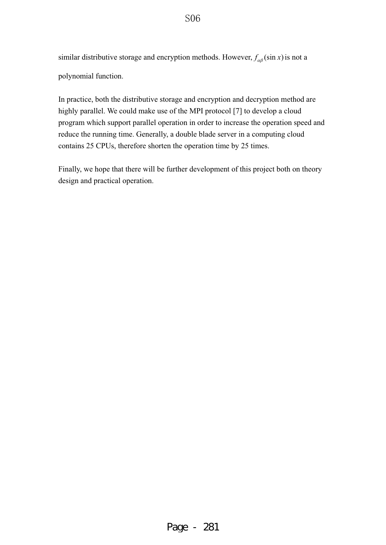similar distributive storage and encryption methods. However,  $f_{\alpha\beta}(\sin x)$  is not a polynomial function.

In practice, both the distributive storage and encryption and decryption method are highly parallel. We could make use of the MPI protocol [7] to develop a cloud program which support parallel operation in order to increase the operation speed and reduce the running time. Generally, a double blade server in a computing cloud contains 25 CPUs, therefore shorten the operation time by 25 times.

Finally, we hope that there will be further development of this project both on theory design and practical operation.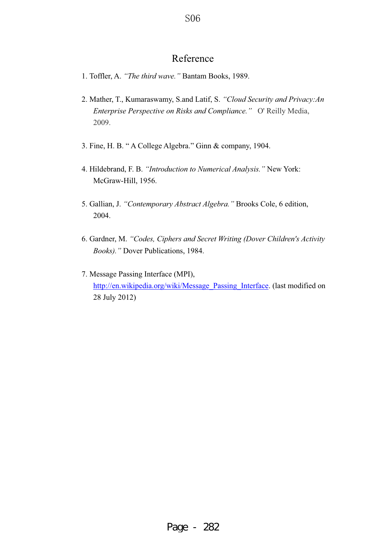# Reference

- 1. Toffler, A. *"The third wave."* Bantam Books, 1989.
- 2. Mather, T., Kumaraswamy, S.and Latif, S. *"Cloud Security and Privacy:An Enterprise Perspective on Risks and Compliance."* O' Reilly Media, 2009.
- 3. Fine, H. B. " A College Algebra." Ginn & company, 1904.
- 4. Hildebrand, F. B. *"Introduction to Numerical Analysis."* New York: McGraw-Hill, 1956.
- 5. Gallian, J. *"Contemporary Abstract Algebra."* Brooks Cole, 6 edition, 2004.
- 6. Gardner, M. *"Codes, Ciphers and Secret Writing (Dover Children's Activity Books)."* Dover Publications, 1984.
- 7. Message Passing Interface (MPI), http://en.wikipedia.org/wiki/Message\_Passing\_Interface. (last modified on 28 July 2012)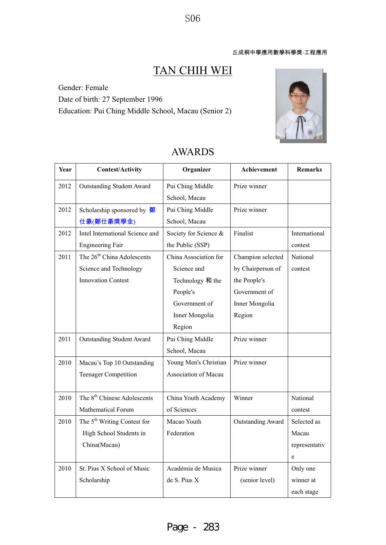S<sub>06</sub>

# TAN CHIH WEI

Gender: Female Date of birth: 27 September 1996 Education: Pui Ching Middle School, Macau (Senior 2)



| Year | <b>Contest/Activity</b>                  | Organizer             | Achievement              | <b>Remarks</b> |
|------|------------------------------------------|-----------------------|--------------------------|----------------|
| 2012 | <b>Outstanding Student Award</b>         | Pui Ching Middle      | Prize winner             |                |
|      |                                          | School, Macau         |                          |                |
| 2012 | Scholarship sponsored by $\frac{dy}{dx}$ | Pui Ching Middle      | Prize winner             |                |
|      | 仕豪(鄭仕豪獎學金)                               | School, Macau         |                          |                |
| 2012 | Intel International Science and          | Society for Science & | Finalist                 | International  |
|      | <b>Engineering Fair</b>                  | the Public (SSP)      |                          | contest        |
| 2011 | The 26 <sup>th</sup> China Adolescents   | China Association for | Champion selected        | National       |
|      | Science and Technology                   | Science and           | by Chairperson of        | contest        |
|      | <b>Innovation Contest</b>                | Technology 和 the      | the People's             |                |
|      |                                          | People's              | Government of            |                |
|      |                                          | Government of         | Inner Mongolia           |                |
|      |                                          | Inner Mongolia        | Region                   |                |
|      |                                          | Region                |                          |                |
| 2011 | <b>Outstanding Student Award</b>         | Pui Ching Middle      | Prize winner             |                |
|      |                                          | School, Macau         |                          |                |
| 2010 | Macau's Top 10 Outstanding               | Young Men's Christian | Prize winner             |                |
|      | <b>Teenager Competition</b>              | Association of Macau  |                          |                |
|      |                                          |                       |                          |                |
| 2010 | The 8 <sup>th</sup> Chinese Adolescents  | China Youth Academy   | Winner                   | National       |
|      | <b>Mathematical Forum</b>                | of Sciences           |                          | contest        |
| 2010 | The 5 <sup>th</sup> Writing Contest for  | Macao Youth           | <b>Outstanding Award</b> | Selected as    |
|      | High School Students in                  | Federation            |                          | Macau          |
|      | China(Macau)                             |                       |                          | representativ  |
|      |                                          |                       |                          | e              |
| 2010 | St. Pius X School of Music               | Académia de Musica    | Prize winner             | Only one       |
|      | Scholarship                              | de S. Pius X          | (senior level)           | winner at      |
|      |                                          |                       |                          | each stage     |

# AWARDS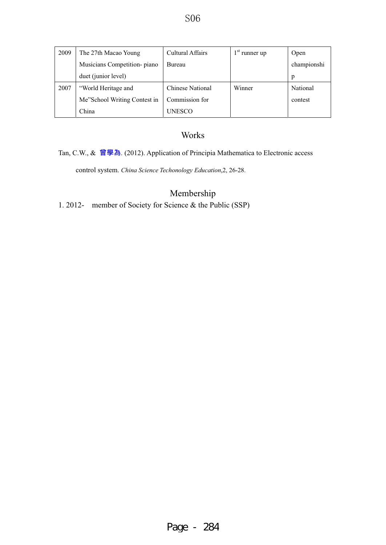| 2009 | The 27th Macao Young         | Cultural Affairs        | $1st$ runner up | Open        |
|------|------------------------------|-------------------------|-----------------|-------------|
|      | Musicians Competition-piano  | Bureau                  |                 | championshi |
|      | duet (junior level)          |                         |                 | p           |
| 2007 | "World Heritage and          | <b>Chinese National</b> | Winner          | National    |
|      | Me"School Writing Contest in | Commission for          |                 | contest     |
|      | China                        | UNESCO                  |                 |             |

## Works

### Tan, C.W., & 曾學為. (2012). Application of Principia Mathematica to Electronic access

control system. *China Science Techonology Education*,2, 26-28.

## Membership

1. 2012- member of Society for Science & the Public (SSP)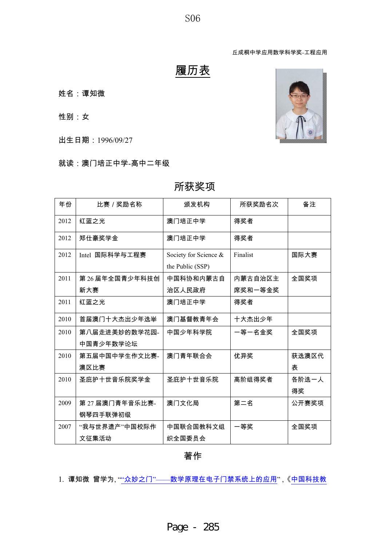S<sub>06</sub>

丘成桐中学应用数学科学奖-工程应用

# 履历表

### 姓名:谭知微

性别:女

出生日期: 1996/09/27

### 就读:澳门培正中学-高中二年级

| 年份   | 比赛/奖励名称        | 颁发机构                  | 所获奖励名次   | 备注    |
|------|----------------|-----------------------|----------|-------|
| 2012 | 红蓝之光           | 澳门培正中学                | 得奖者      |       |
| 2012 | 郑仕豪奖学金         | 澳门培正中学                | 得奖者      |       |
| 2012 | Intel 国际科学与工程赛 | Society for Science & | Finalist | 国际大赛  |
|      |                | the Public (SSP)      |          |       |
| 2011 | 第26届年全国青少年科技创  | 中国科协和内蒙古自             | 内蒙古自治区主  | 全国奖项  |
|      | 新大赛            | 治区人民政府                | 席奖和一等金奖  |       |
| 2011 | 红蓝之光           | 澳门培正中学                | 得奖者      |       |
| 2010 | 首届澳门十大杰出少年选举   | 澳门基督教青年会              | 十大杰出少年   |       |
| 2010 | 第八届走进美妙的数学花园-  | 中国少年科学院               | 一等一名金奖   | 全国奖项  |
|      | 中国青少年数学论坛      |                       |          |       |
| 2010 | 第五届中国中学生作文比赛-  | 澳门青年联合会               | 优异奖      | 获选澳区代 |
|      | 澳区比赛           |                       |          | 表     |
| 2010 | 圣庇护十世音乐院奖学金    | 圣庇护十世音乐院              | 高阶组得奖者   | 各阶选一人 |
|      |                |                       |          | 得奖    |
| 2009 | 第27届澳门青年音乐比赛-  | 澳门文化局                 | 第二名      | 公开赛奖项 |
|      | 钢琴四手联弹初级       |                       |          |       |
| 2007 | "我与世界遗产"中国校际作  | 中国联合国教科文组             | 一等奖      | 全国奖项  |
|      | 文征集活动          | 织全国委员会                |          |       |

## 所获奖项

著作

1. 谭知微 曾学为, ""众妙之门"——数学原理在电子门禁系统上的应用",《中国科技教